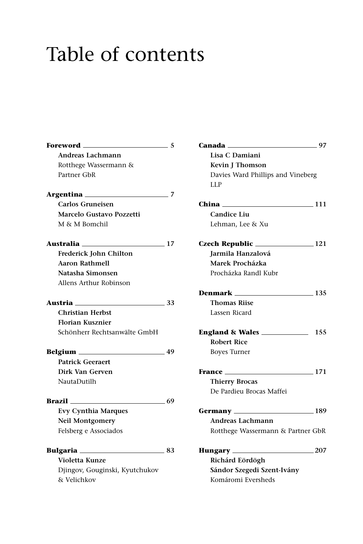## Table of contents

| Foreword ____________________     | 5     |
|-----------------------------------|-------|
| Andreas Lachmann                  |       |
| Rotthege Wassermann &             |       |
| Partner GbR                       |       |
|                                   | 7     |
| Carlos Gruneisen                  |       |
| Marcelo Gustavo Pozzetti          |       |
| M & M Bomchil                     |       |
| Australia ___________________     | $-17$ |
| Frederick John Chilton            |       |
| <b>Aaron Rathmell</b>             |       |
| Natasha Simonsen                  |       |
| Allens Arthur Robinson            |       |
| Austria <sub>—</sub><br>$\sim$ 33 |       |
| Christian Herbst                  |       |
| <b>Florian Kusznier</b>           |       |
| Schönherr Rechtsanwälte GmbH      |       |
|                                   | - 49  |
| <b>Patrick Geeraert</b>           |       |
| Dirk Van Gerven                   |       |
| NautaDutilh                       |       |
| Brazil                            | $-69$ |
| <b>Evy Cynthia Marques</b>        |       |
| <b>Neil Montgomery</b>            |       |
| Felsberg e Associados             |       |
| Bulgaria                          | - 83  |
| Violetta Kunze                    |       |
| Djingov, Gouginski, Kyutchukov    |       |
| & Velichkov                       |       |

| Canada <sub>——</sub><br>$\sim$ 07    |  |
|--------------------------------------|--|
| Lisa C Damiani                       |  |
| <b>Kevin J Thomson</b>               |  |
| Davies Ward Phillips and Vineberg    |  |
| LLP                                  |  |
|                                      |  |
| China ____<br>$\frac{111}{2}$        |  |
| <b>Candice Liu</b>                   |  |
| Lehman, Lee & Xu                     |  |
|                                      |  |
| Jarmila Hanzalová                    |  |
| Marek Procházka                      |  |
| Procházka Randl Kubr                 |  |
|                                      |  |
| Denmark<br>$\sim$ 135                |  |
| <b>Thomas Riise</b>                  |  |
| Lassen Ricard                        |  |
| 155<br>England & Wales               |  |
| <b>Robert Rice</b>                   |  |
| <b>Boyes Turner</b>                  |  |
| $\sim$ 171<br><b>France Example</b>  |  |
| <b>Thierry Brocas</b>                |  |
| De Pardieu Brocas Maffei             |  |
|                                      |  |
| Germany _________________________189 |  |
| Andreas Lachmann                     |  |
| Rotthege Wassermann & Partner GbR    |  |
| $\sim$ 207<br>Hungary                |  |
| Richárd Eördögh                      |  |
| Sándor Szegedi Szent-Ivány           |  |
| Komáromi Eversheds                   |  |
|                                      |  |